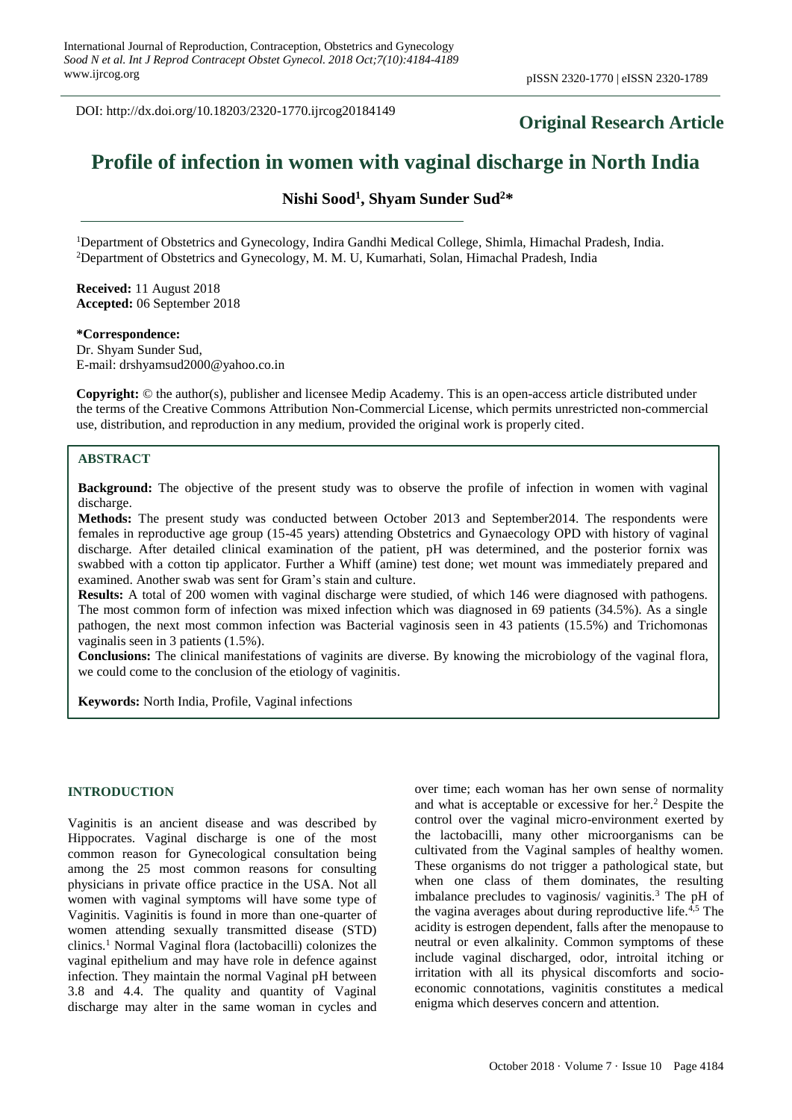DOI: http://dx.doi.org/10.18203/2320-1770.ijrcog20184149

# **Original Research Article**

# **Profile of infection in women with vaginal discharge in North India**

**Nishi Sood 1 , Shyam Sunder Sud<sup>2</sup>\***

<sup>1</sup>Department of Obstetrics and Gynecology, Indira Gandhi Medical College, Shimla, Himachal Pradesh, India. <sup>2</sup>Department of Obstetrics and Gynecology, M. M. U, Kumarhati, Solan, Himachal Pradesh, India

**Received:** 11 August 2018 **Accepted:** 06 September 2018

**\*Correspondence:** Dr. Shyam Sunder Sud, E-mail: drshyamsud2000@yahoo.co.in

**Copyright:** © the author(s), publisher and licensee Medip Academy. This is an open-access article distributed under the terms of the Creative Commons Attribution Non-Commercial License, which permits unrestricted non-commercial use, distribution, and reproduction in any medium, provided the original work is properly cited.

# **ABSTRACT**

**Background:** The objective of the present study was to observe the profile of infection in women with vaginal discharge.

**Methods:** The present study was conducted between October 2013 and September2014. The respondents were females in reproductive age group (15-45 years) attending Obstetrics and Gynaecology OPD with history of vaginal discharge. After detailed clinical examination of the patient, pH was determined, and the posterior fornix was swabbed with a cotton tip applicator. Further a Whiff (amine) test done; wet mount was immediately prepared and examined. Another swab was sent for Gram's stain and culture.

**Results:** A total of 200 women with vaginal discharge were studied, of which 146 were diagnosed with pathogens. The most common form of infection was mixed infection which was diagnosed in 69 patients (34.5%). As a single pathogen, the next most common infection was Bacterial vaginosis seen in 43 patients (15.5%) and Trichomonas vaginalis seen in 3 patients (1.5%).

**Conclusions:** The clinical manifestations of vaginits are diverse. By knowing the microbiology of the vaginal flora, we could come to the conclusion of the etiology of vaginitis.

**Keywords:** North India, Profile, Vaginal infections

#### **INTRODUCTION**

Vaginitis is an ancient disease and was described by Hippocrates. Vaginal discharge is one of the most common reason for Gynecological consultation being among the 25 most common reasons for consulting physicians in private office practice in the USA. Not all women with vaginal symptoms will have some type of Vaginitis. Vaginitis is found in more than one-quarter of women attending sexually transmitted disease (STD) clinics.<sup>1</sup> Normal Vaginal flora (lactobacilli) colonizes the vaginal epithelium and may have role in defence against infection. They maintain the normal Vaginal pH between 3.8 and 4.4. The quality and quantity of Vaginal discharge may alter in the same woman in cycles and over time; each woman has her own sense of normality and what is acceptable or excessive for her.<sup>2</sup> Despite the control over the vaginal micro-environment exerted by the lactobacilli, many other microorganisms can be cultivated from the Vaginal samples of healthy women. These organisms do not trigger a pathological state, but when one class of them dominates, the resulting imbalance precludes to vaginosis/ vaginitis.<sup>3</sup> The pH of the vagina averages about during reproductive life. $4,5$  The acidity is estrogen dependent, falls after the menopause to neutral or even alkalinity. Common symptoms of these include vaginal discharged, odor, introital itching or irritation with all its physical discomforts and socioeconomic connotations, vaginitis constitutes a medical enigma which deserves concern and attention.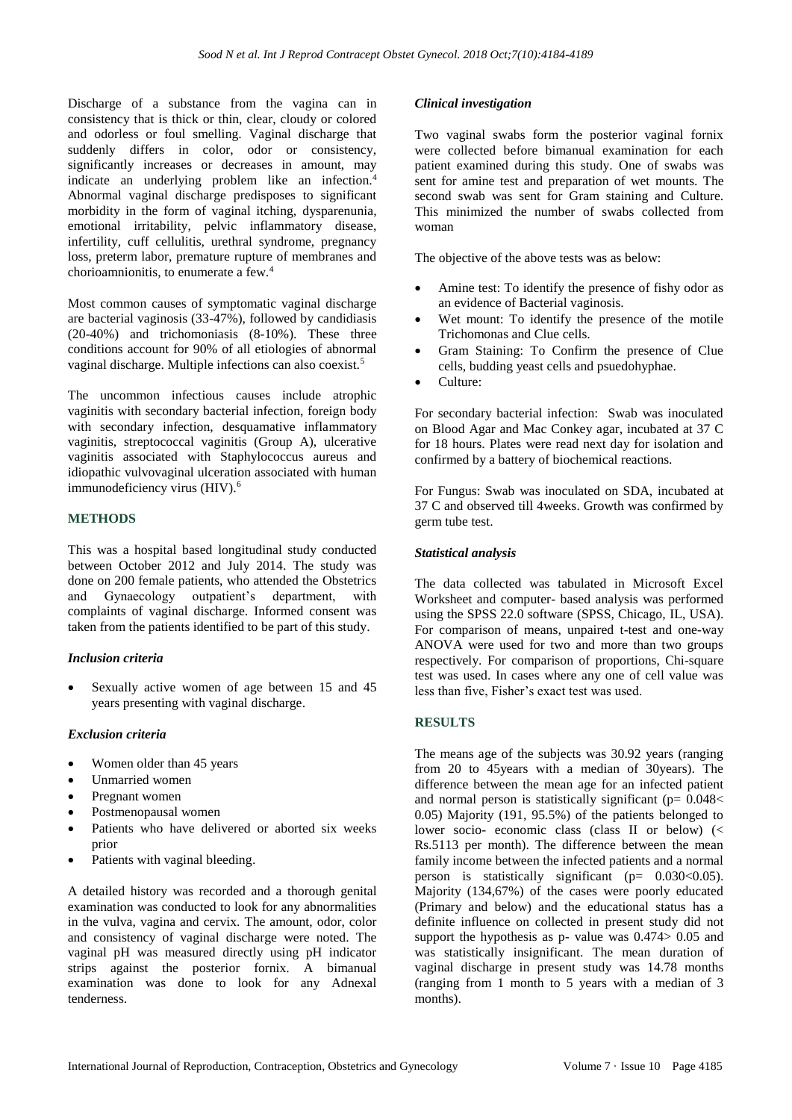Discharge of a substance from the vagina can in consistency that is thick or thin, clear, cloudy or colored and odorless or foul smelling. Vaginal discharge that suddenly differs in color, odor or consistency, significantly increases or decreases in amount, may indicate an underlying problem like an infection.<sup>4</sup> Abnormal vaginal discharge predisposes to significant morbidity in the form of vaginal itching, dysparenunia, emotional irritability, pelvic inflammatory disease, infertility, cuff cellulitis, urethral syndrome, pregnancy loss, preterm labor, premature rupture of membranes and chorioamnionitis, to enumerate a few.<sup>4</sup>

Most common causes of symptomatic vaginal discharge are bacterial vaginosis (33-47%), followed by candidiasis (20-40%) and trichomoniasis (8-10%). These three conditions account for 90% of all etiologies of abnormal vaginal discharge. Multiple infections can also coexist.<sup>5</sup>

The uncommon infectious causes include atrophic vaginitis with secondary bacterial infection, foreign body with secondary infection, desquamative inflammatory vaginitis, streptococcal vaginitis (Group A), ulcerative vaginitis associated with Staphylococcus aureus and idiopathic vulvovaginal ulceration associated with human immunodeficiency virus (HIV).<sup>6</sup>

# **METHODS**

This was a hospital based longitudinal study conducted between October 2012 and July 2014. The study was done on 200 female patients, who attended the Obstetrics and Gynaecology outpatient's department, with complaints of vaginal discharge. Informed consent was taken from the patients identified to be part of this study.

# *Inclusion criteria*

Sexually active women of age between 15 and 45 years presenting with vaginal discharge.

# *Exclusion criteria*

- Women older than 45 years
- Unmarried women
- Pregnant women
- Postmenopausal women
- Patients who have delivered or aborted six weeks prior
- Patients with vaginal bleeding.

A detailed history was recorded and a thorough genital examination was conducted to look for any abnormalities in the vulva, vagina and cervix. The amount, odor, color and consistency of vaginal discharge were noted. The vaginal pH was measured directly using pH indicator strips against the posterior fornix. A bimanual examination was done to look for any Adnexal tenderness.

#### *Clinical investigation*

Two vaginal swabs form the posterior vaginal fornix were collected before bimanual examination for each patient examined during this study. One of swabs was sent for amine test and preparation of wet mounts. The second swab was sent for Gram staining and Culture. This minimized the number of swabs collected from woman

The objective of the above tests was as below:

- Amine test: To identify the presence of fishy odor as an evidence of Bacterial vaginosis.
- Wet mount: To identify the presence of the motile Trichomonas and Clue cells.
- Gram Staining: To Confirm the presence of Clue cells, budding yeast cells and psuedohyphae.
- Culture:

For secondary bacterial infection: Swab was inoculated on Blood Agar and Mac Conkey agar, incubated at 37 C for 18 hours. Plates were read next day for isolation and confirmed by a battery of biochemical reactions.

For Fungus: Swab was inoculated on SDA, incubated at 37 C and observed till 4weeks. Growth was confirmed by germ tube test.

# *Statistical analysis*

The data collected was tabulated in Microsoft Excel Worksheet and computer- based analysis was performed using the SPSS 22.0 software (SPSS, Chicago, IL, USA). For comparison of means, unpaired t-test and one-way ANOVA were used for two and more than two groups respectively. For comparison of proportions, Chi-square test was used. In cases where any one of cell value was less than five, Fisher's exact test was used.

# **RESULTS**

The means age of the subjects was 30.92 years (ranging from 20 to 45years with a median of 30years). The difference between the mean age for an infected patient and normal person is statistically significant ( $p= 0.048 <$ 0.05) Majority (191, 95.5%) of the patients belonged to lower socio- economic class (class II or below) (< Rs.5113 per month). The difference between the mean family income between the infected patients and a normal person is statistically significant ( $p= 0.030<0.05$ ). Majority (134,67%) of the cases were poorly educated (Primary and below) and the educational status has a definite influence on collected in present study did not support the hypothesis as p- value was  $0.474 > 0.05$  and was statistically insignificant. The mean duration of vaginal discharge in present study was 14.78 months (ranging from 1 month to 5 years with a median of 3 months).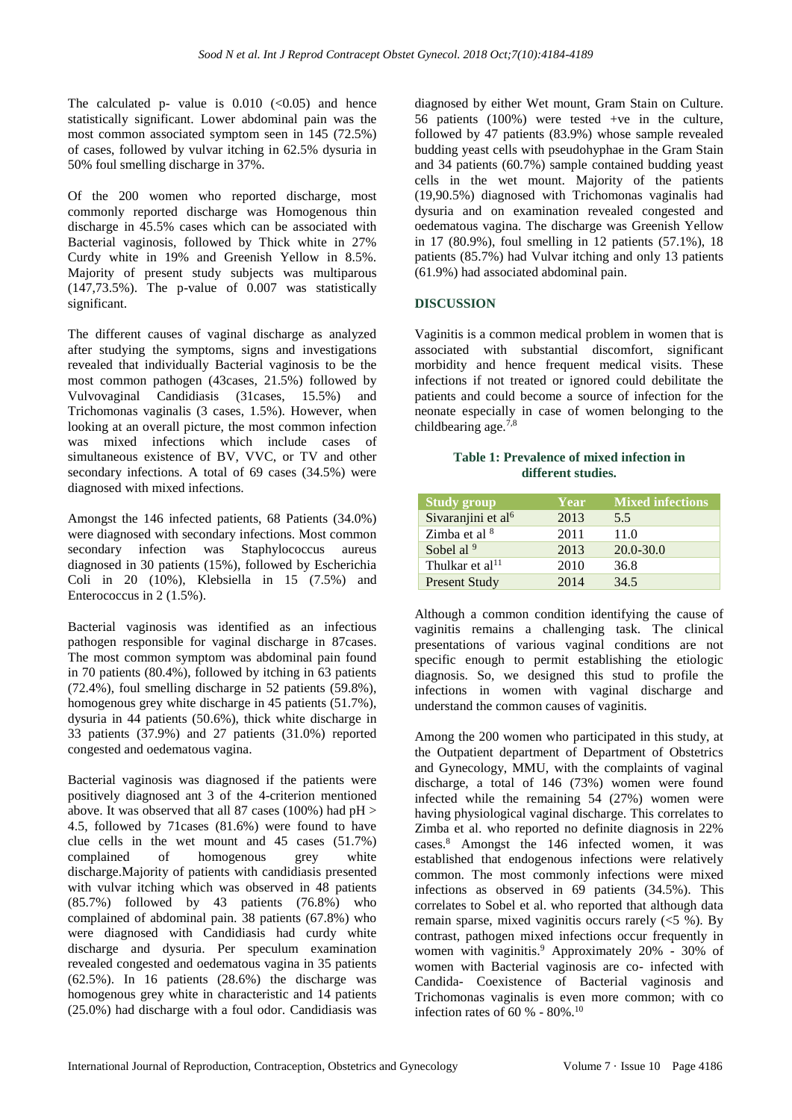The calculated p- value is  $0.010$  (<0.05) and hence statistically significant. Lower abdominal pain was the most common associated symptom seen in 145 (72.5%) of cases, followed by vulvar itching in 62.5% dysuria in 50% foul smelling discharge in 37%.

Of the 200 women who reported discharge, most commonly reported discharge was Homogenous thin discharge in 45.5% cases which can be associated with Bacterial vaginosis, followed by Thick white in 27% Curdy white in 19% and Greenish Yellow in 8.5%. Majority of present study subjects was multiparous (147,73.5%). The p-value of 0.007 was statistically significant.

The different causes of vaginal discharge as analyzed after studying the symptoms, signs and investigations revealed that individually Bacterial vaginosis to be the most common pathogen (43cases, 21.5%) followed by Vulvovaginal Candidiasis (31cases, 15.5%) and Trichomonas vaginalis (3 cases, 1.5%). However, when looking at an overall picture, the most common infection was mixed infections which include cases of simultaneous existence of BV, VVC, or TV and other secondary infections. A total of 69 cases (34.5%) were diagnosed with mixed infections.

Amongst the 146 infected patients, 68 Patients (34.0%) were diagnosed with secondary infections. Most common secondary infection was Staphylococcus aureus diagnosed in 30 patients (15%), followed by Escherichia Coli in 20 (10%), Klebsiella in 15 (7.5%) and Enterococcus in 2 (1.5%).

Bacterial vaginosis was identified as an infectious pathogen responsible for vaginal discharge in 87cases. The most common symptom was abdominal pain found in 70 patients (80.4%), followed by itching in 63 patients (72.4%), foul smelling discharge in 52 patients (59.8%), homogenous grey white discharge in 45 patients (51.7%), dysuria in 44 patients (50.6%), thick white discharge in 33 patients (37.9%) and 27 patients (31.0%) reported congested and oedematous vagina.

Bacterial vaginosis was diagnosed if the patients were positively diagnosed ant 3 of the 4-criterion mentioned above. It was observed that all 87 cases (100%) had  $pH >$ 4.5, followed by 71cases (81.6%) were found to have clue cells in the wet mount and 45 cases (51.7%) complained of homogenous grey white discharge.Majority of patients with candidiasis presented with vulvar itching which was observed in 48 patients (85.7%) followed by 43 patients (76.8%) who complained of abdominal pain. 38 patients (67.8%) who were diagnosed with Candidiasis had curdy white discharge and dysuria. Per speculum examination revealed congested and oedematous vagina in 35 patients (62.5%). In 16 patients (28.6%) the discharge was homogenous grey white in characteristic and 14 patients (25.0%) had discharge with a foul odor. Candidiasis was diagnosed by either Wet mount, Gram Stain on Culture. 56 patients (100%) were tested +ve in the culture, followed by 47 patients (83.9%) whose sample revealed budding yeast cells with pseudohyphae in the Gram Stain and 34 patients (60.7%) sample contained budding yeast cells in the wet mount. Majority of the patients (19,90.5%) diagnosed with Trichomonas vaginalis had dysuria and on examination revealed congested and oedematous vagina. The discharge was Greenish Yellow in 17 (80.9%), foul smelling in 12 patients (57.1%), 18 patients (85.7%) had Vulvar itching and only 13 patients (61.9%) had associated abdominal pain.

# **DISCUSSION**

Vaginitis is a common medical problem in women that is associated with substantial discomfort, significant morbidity and hence frequent medical visits. These infections if not treated or ignored could debilitate the patients and could become a source of infection for the neonate especially in case of women belonging to the childbearing age.7,8

# **Table 1: Prevalence of mixed infection in different studies.**

| <b>Study group</b>             | Year | <b>Mixed infections</b> |
|--------------------------------|------|-------------------------|
| Sivaranjini et al <sup>6</sup> | 2013 | 5.5                     |
| Zimba et al 8                  | 2011 | 11.0                    |
| Sobel al <sup>9</sup>          | 2013 | $20.0 - 30.0$           |
| Thulkar et al <sup>11</sup>    | 2010 | 36.8                    |
| <b>Present Study</b>           | 2014 | 34.5                    |

Although a common condition identifying the cause of vaginitis remains a challenging task. The clinical presentations of various vaginal conditions are not specific enough to permit establishing the etiologic diagnosis. So, we designed this stud to profile the infections in women with vaginal discharge and understand the common causes of vaginitis.

Among the 200 women who participated in this study, at the Outpatient department of Department of Obstetrics and Gynecology, MMU, with the complaints of vaginal discharge, a total of 146 (73%) women were found infected while the remaining 54 (27%) women were having physiological vaginal discharge. This correlates to Zimba et al. who reported no definite diagnosis in 22% cases.<sup>8</sup> Amongst the 146 infected women, it was established that endogenous infections were relatively common. The most commonly infections were mixed infections as observed in 69 patients (34.5%). This correlates to Sobel et al. who reported that although data remain sparse, mixed vaginitis occurs rarely (<5 %). By contrast, pathogen mixed infections occur frequently in women with vaginitis. <sup>9</sup> Approximately 20% - 30% of women with Bacterial vaginosis are co- infected with Candida- Coexistence of Bacterial vaginosis and Trichomonas vaginalis is even more common; with co infection rates of 60 % -  $80\%$ .<sup>10</sup>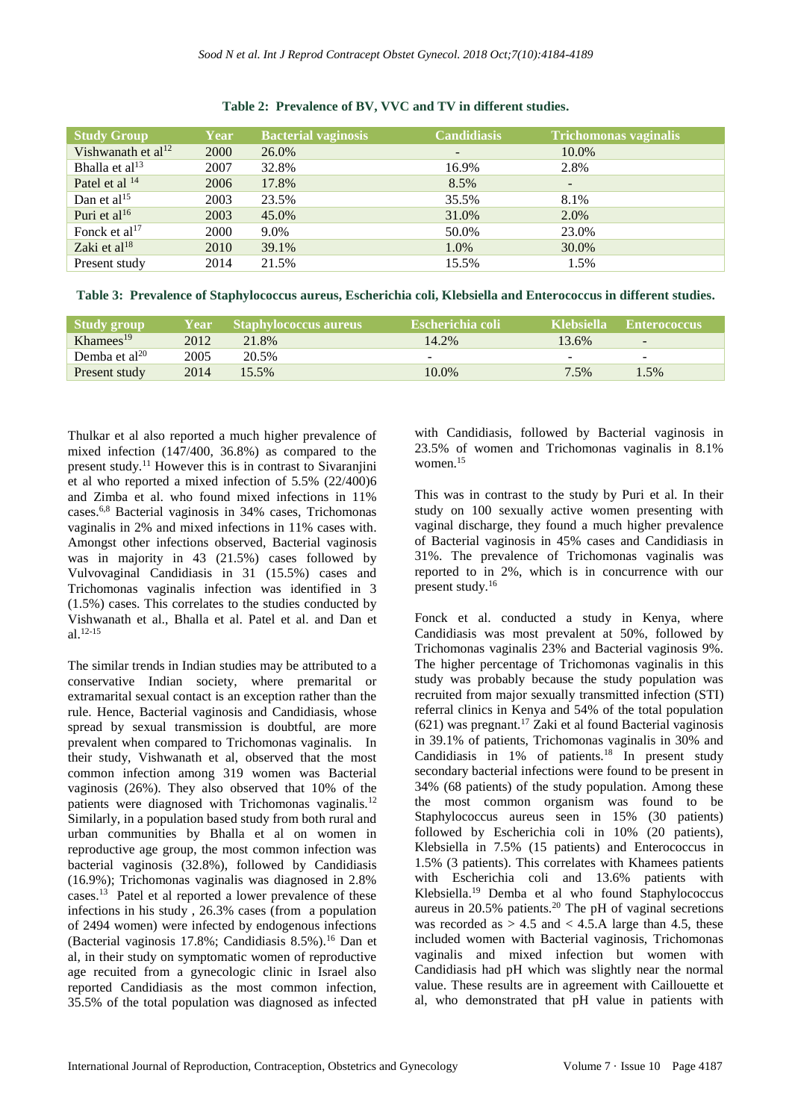| <b>Study Group</b>             | <b>Year</b> | <b>Bacterial vaginosis</b> | <b>Candidiasis</b>       | <b>Trichomonas vaginalis</b> |
|--------------------------------|-------------|----------------------------|--------------------------|------------------------------|
| Vishwanath et al <sup>12</sup> | 2000        | 26.0%                      | $\overline{\phantom{a}}$ | 10.0%                        |
| Bhalla et al $13$              | 2007        | 32.8%                      | 16.9%                    | 2.8%                         |
| Patel et al <sup>14</sup>      | 2006        | 17.8%                      | 8.5%                     | ٠                            |
| Dan et al <sup>15</sup>        | 2003        | 23.5%                      | 35.5%                    | 8.1%                         |
| Puri et al <sup>16</sup>       | 2003        | 45.0%                      | 31.0%                    | 2.0%                         |
| Fonck et al <sup>17</sup>      | 2000        | 9.0%                       | 50.0%                    | 23.0%                        |
| Zaki et al $^{18}$             | 2010        | 39.1%                      | 1.0%                     | 30.0%                        |
| Present study                  | 2014        | 21.5%                      | 15.5%                    | 1.5%                         |

#### **Table 2: Prevalence of BV, VVC and TV in different studies.**

**Table 3: Prevalence of Staphylococcus aureus, Escherichia coli, Klebsiella and Enterococcus in different studies.**

| <b>Study group</b>        | Year | <b>Staphylococcus aureus</b> | Escherichia coli | <b>Klebsiella</b> | <b>Enterococcus</b> |  |
|---------------------------|------|------------------------------|------------------|-------------------|---------------------|--|
| Khamees <sup>19</sup>     | 2012 | 21.8%                        | 14.2%            | 13.6%             | $\sim$              |  |
| Demba et al <sup>20</sup> | 2005 | 20.5%                        | -                | -                 | $\sim$              |  |
| Present study             | 2014 | 15.5%                        | 10.0%            | $7.5\%$           | 1.5%                |  |

Thulkar et al also reported a much higher prevalence of mixed infection (147/400, 36.8%) as compared to the present study.<sup>11</sup> However this is in contrast to Sivaranjini et al who reported a mixed infection of 5.5% (22/400)6 and Zimba et al. who found mixed infections in 11% cases.6,8 Bacterial vaginosis in 34% cases, Trichomonas vaginalis in 2% and mixed infections in 11% cases with. Amongst other infections observed, Bacterial vaginosis was in majority in 43 (21.5%) cases followed by Vulvovaginal Candidiasis in 31 (15.5%) cases and Trichomonas vaginalis infection was identified in 3 (1.5%) cases. This correlates to the studies conducted by Vishwanath et al., Bhalla et al. Patel et al. and Dan et al.12-15

The similar trends in Indian studies may be attributed to a conservative Indian society, where premarital or extramarital sexual contact is an exception rather than the rule. Hence, Bacterial vaginosis and Candidiasis, whose spread by sexual transmission is doubtful, are more prevalent when compared to Trichomonas vaginalis. In their study, Vishwanath et al, observed that the most common infection among 319 women was Bacterial vaginosis (26%). They also observed that 10% of the patients were diagnosed with Trichomonas vaginalis.<sup>12</sup> Similarly, in a population based study from both rural and urban communities by Bhalla et al on women in reproductive age group, the most common infection was bacterial vaginosis (32.8%), followed by Candidiasis (16.9%); Trichomonas vaginalis was diagnosed in 2.8% cases.<sup>13</sup> Patel et al reported a lower prevalence of these infections in his study , 26.3% cases (from a population of 2494 women) were infected by endogenous infections (Bacterial vaginosis  $17.8\%$ ; Candidiasis  $8.5\%$ ).<sup>16</sup> Dan et al, in their study on symptomatic women of reproductive age recuited from a gynecologic clinic in Israel also reported Candidiasis as the most common infection, 35.5% of the total population was diagnosed as infected with Candidiasis, followed by Bacterial vaginosis in 23.5% of women and Trichomonas vaginalis in 8.1% women.<sup>15</sup>

This was in contrast to the study by Puri et al. In their study on 100 sexually active women presenting with vaginal discharge, they found a much higher prevalence of Bacterial vaginosis in 45% cases and Candidiasis in 31%. The prevalence of Trichomonas vaginalis was reported to in 2%, which is in concurrence with our present study.<sup>16</sup>

Fonck et al. conducted a study in Kenya, where Candidiasis was most prevalent at 50%, followed by Trichomonas vaginalis 23% and Bacterial vaginosis 9%. The higher percentage of Trichomonas vaginalis in this study was probably because the study population was recruited from major sexually transmitted infection (STI) referral clinics in Kenya and 54% of the total population  $(621)$  was pregnant.<sup>17</sup> Zaki et al found Bacterial vaginosis in 39.1% of patients, Trichomonas vaginalis in 30% and Candidiasis in 1% of patients.<sup>18</sup> In present study secondary bacterial infections were found to be present in 34% (68 patients) of the study population. Among these the most common organism was found to be Staphylococcus aureus seen in 15% (30 patients) followed by Escherichia coli in 10% (20 patients), Klebsiella in 7.5% (15 patients) and Enterococcus in 1.5% (3 patients). This correlates with Khamees patients with Escherichia coli and 13.6% patients with Klebsiella.<sup>19</sup> Demba et al who found Staphylococcus aureus in  $20.5\%$  patients.<sup>20</sup> The pH of vaginal secretions was recorded as  $> 4.5$  and  $< 4.5$ . A large than 4.5, these included women with Bacterial vaginosis, Trichomonas vaginalis and mixed infection but women with Candidiasis had pH which was slightly near the normal value. These results are in agreement with Caillouette et al, who demonstrated that pH value in patients with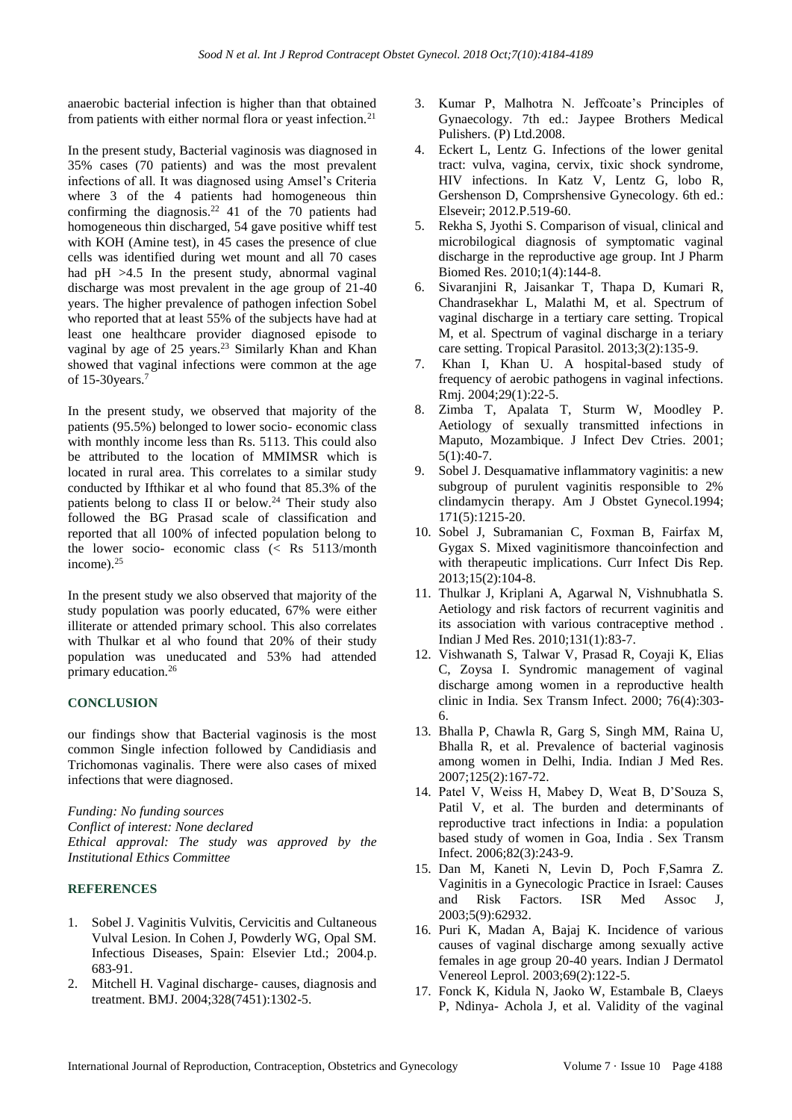anaerobic bacterial infection is higher than that obtained from patients with either normal flora or yeast infection.<sup>21</sup>

In the present study, Bacterial vaginosis was diagnosed in 35% cases (70 patients) and was the most prevalent infections of all. It was diagnosed using Amsel's Criteria where 3 of the 4 patients had homogeneous thin confirming the diagnosis.<sup>22</sup> 41 of the 70 patients had homogeneous thin discharged, 54 gave positive whiff test with KOH (Amine test), in 45 cases the presence of clue cells was identified during wet mount and all 70 cases had  $pH > 4.5$  In the present study, abnormal vaginal discharge was most prevalent in the age group of 21-40 years. The higher prevalence of pathogen infection Sobel who reported that at least 55% of the subjects have had at least one healthcare provider diagnosed episode to vaginal by age of 25 years.<sup>23</sup> Similarly Khan and Khan showed that vaginal infections were common at the age of 15-30years.<sup>7</sup>

In the present study, we observed that majority of the patients (95.5%) belonged to lower socio- economic class with monthly income less than Rs. 5113. This could also be attributed to the location of MMIMSR which is located in rural area. This correlates to a similar study conducted by Ifthikar et al who found that 85.3% of the patients belong to class II or below.<sup>24</sup> Their study also followed the BG Prasad scale of classification and reported that all 100% of infected population belong to the lower socio- economic class (< Rs 5113/month income).<sup>25</sup>

In the present study we also observed that majority of the study population was poorly educated, 67% were either illiterate or attended primary school. This also correlates with Thulkar et al who found that 20% of their study population was uneducated and 53% had attended primary education.<sup>26</sup>

# **CONCLUSION**

our findings show that Bacterial vaginosis is the most common Single infection followed by Candidiasis and Trichomonas vaginalis. There were also cases of mixed infections that were diagnosed.

*Funding: No funding sources Conflict of interest: None declared Ethical approval: The study was approved by the Institutional Ethics Committee*

# **REFERENCES**

- 1. Sobel J. Vaginitis Vulvitis, Cervicitis and Cultaneous Vulval Lesion. In Cohen J, Powderly WG, Opal SM. Infectious Diseases, Spain: Elsevier Ltd.; 2004.p. 683-91.
- 2. Mitchell H. Vaginal discharge- causes, diagnosis and treatment. BMJ. 2004;328(7451):1302-5.
- 3. Kumar P, Malhotra N. Jeffcoate's Principles of Gynaecology. 7th ed.: Jaypee Brothers Medical Pulishers. (P) Ltd.2008.
- 4. Eckert L, Lentz G. Infections of the lower genital tract: vulva, vagina, cervix, tixic shock syndrome, HIV infections. In Katz V, Lentz G, lobo R, Gershenson D, Comprshensive Gynecology. 6th ed.: Elseveir; 2012.P.519-60.
- 5. Rekha S, Jyothi S. Comparison of visual, clinical and microbilogical diagnosis of symptomatic vaginal discharge in the reproductive age group. Int J Pharm Biomed Res. 2010;1(4):144-8.
- 6. Sivaranjini R, Jaisankar T, Thapa D, Kumari R, Chandrasekhar L, Malathi M, et al. Spectrum of vaginal discharge in a tertiary care setting. Tropical M, et al. Spectrum of vaginal discharge in a teriary care setting. Tropical Parasitol. 2013;3(2):135-9.
- 7. Khan I, Khan U. A hospital-based study of frequency of aerobic pathogens in vaginal infections. Rmj. 2004;29(1):22-5.
- 8. Zimba T, Apalata T, Sturm W, Moodley P. Aetiology of sexually transmitted infections in Maputo, Mozambique. J Infect Dev Ctries. 2001; 5(1):40-7.
- 9. Sobel J. Desquamative inflammatory vaginitis: a new subgroup of purulent vaginitis responsible to 2% clindamycin therapy. Am J Obstet Gynecol.1994; 171(5):1215-20.
- 10. Sobel J, Subramanian C, Foxman B, Fairfax M, Gygax S. Mixed vaginitismore thancoinfection and with therapeutic implications. Curr Infect Dis Rep. 2013;15(2):104-8.
- 11. Thulkar J, Kriplani A, Agarwal N, Vishnubhatla S. Aetiology and risk factors of recurrent vaginitis and its association with various contraceptive method . Indian J Med Res. 2010;131(1):83-7.
- 12. Vishwanath S, Talwar V, Prasad R, Coyaji K, Elias C, Zoysa I. Syndromic management of vaginal discharge among women in a reproductive health clinic in India. Sex Transm Infect. 2000; 76(4):303- 6.
- 13. Bhalla P, Chawla R, Garg S, Singh MM, Raina U, Bhalla R, et al. Prevalence of bacterial vaginosis among women in Delhi, India. Indian J Med Res. 2007;125(2):167-72.
- 14. Patel V, Weiss H, Mabey D, Weat B, D'Souza S, Patil V, et al. The burden and determinants of reproductive tract infections in India: a population based study of women in Goa, India . Sex Transm Infect. 2006;82(3):243-9.
- 15. Dan M, Kaneti N, Levin D, Poch F,Samra Z. Vaginitis in a Gynecologic Practice in Israel: Causes and Risk Factors. ISR Med Assoc J, 2003;5(9):62932.
- 16. Puri K, Madan A, Bajaj K. Incidence of various causes of vaginal discharge among sexually active females in age group 20-40 years. Indian J Dermatol Venereol Leprol. 2003;69(2):122-5.
- 17. Fonck K, Kidula N, Jaoko W, Estambale B, Claeys P, Ndinya- Achola J, et al. Validity of the vaginal